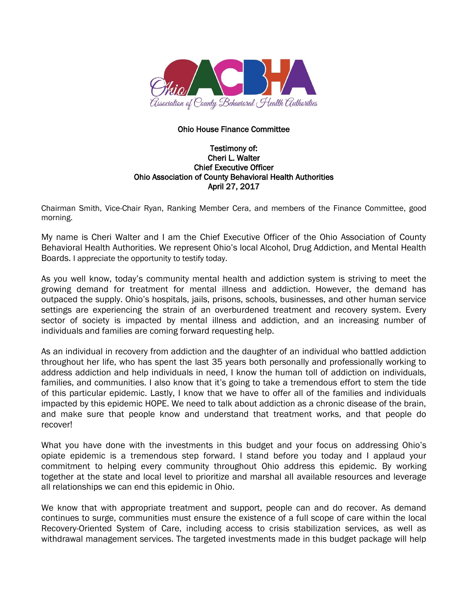

## Ohio House Finance Committee

## Testimony of: Cheri L. Walter Chief Executive Officer Ohio Association of County Behavioral Health Authorities April 27, 2017

Chairman Smith, Vice-Chair Ryan, Ranking Member Cera, and members of the Finance Committee, good morning.

My name is Cheri Walter and I am the Chief Executive Officer of the Ohio Association of County Behavioral Health Authorities. We represent Ohio's local Alcohol, Drug Addiction, and Mental Health Boards. I appreciate the opportunity to testify today.

As you well know, today's community mental health and addiction system is striving to meet the growing demand for treatment for mental illness and addiction. However, the demand has outpaced the supply. Ohio's hospitals, jails, prisons, schools, businesses, and other human service settings are experiencing the strain of an overburdened treatment and recovery system. Every sector of society is impacted by mental illness and addiction, and an increasing number of individuals and families are coming forward requesting help.

As an individual in recovery from addiction and the daughter of an individual who battled addiction throughout her life, who has spent the last 35 years both personally and professionally working to address addiction and help individuals in need, I know the human toll of addiction on individuals, families, and communities. I also know that it's going to take a tremendous effort to stem the tide of this particular epidemic. Lastly, I know that we have to offer all of the families and individuals impacted by this epidemic HOPE. We need to talk about addiction as a chronic disease of the brain, and make sure that people know and understand that treatment works, and that people do recover!

What you have done with the investments in this budget and your focus on addressing Ohio's opiate epidemic is a tremendous step forward. I stand before you today and I applaud your commitment to helping every community throughout Ohio address this epidemic. By working together at the state and local level to prioritize and marshal all available resources and leverage all relationships we can end this epidemic in Ohio.

We know that with appropriate treatment and support, people can and do recover. As demand continues to surge, communities must ensure the existence of a full scope of care within the local Recovery-Oriented System of Care, including access to crisis stabilization services, as well as withdrawal management services. The targeted investments made in this budget package will help